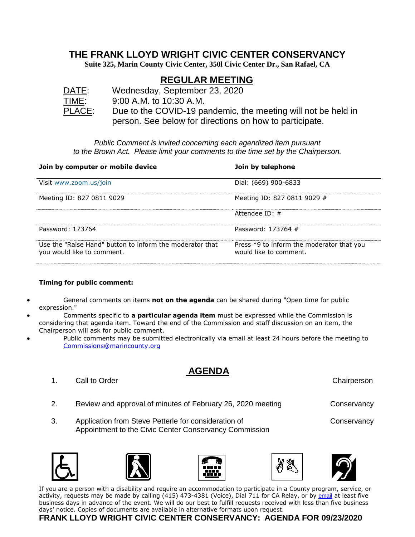### **THE FRANK LLOYD WRIGHT CIVIC CENTER CONSERVANCY**

**Suite 325, Marin County Civic Center, 350l Civic Center Dr., San Rafael, CA**

# **REGULAR MEETING**

DATE: Wednesday, September 23, 2020 TIME: 9:00 A.M. to 10:30 A.M. PLACE: Due to the COVID-19 pandemic, the meeting will not be held in person. See below for directions on how to participate.

*Public Comment is invited concerning each agendized item pursuant to the Brown Act. Please limit your comments to the time set by the Chairperson.*

| Join by computer or mobile device                                                      | Join by telephone                                                   |
|----------------------------------------------------------------------------------------|---------------------------------------------------------------------|
| Visit www.zoom.us/join                                                                 | Dial: (669) 900-6833                                                |
| Meeting ID: 827 0811 9029                                                              | Meeting ID: 827 0811 9029 #                                         |
|                                                                                        | Attendee ID: $\#$                                                   |
| Password: 173764                                                                       | Password: 173764 #                                                  |
| Use the "Raise Hand" button to inform the moderator that<br>you would like to comment. | Press *9 to inform the moderator that you<br>would like to comment. |

#### **Timing for public comment:**

- General comments on items **not on the agenda** can be shared during "Open time for public expression."
- Comments specific to **a particular agenda item** must be expressed while the Commission is considering that agenda item. Toward the end of the Commission and staff discussion on an item, the Chairperson will ask for public comment.
- Public comments may be submitted electronically via email at least 24 hours before the meeting to [Commissions@marincounty.org](mailto:Commissions@marincounty.org)

## **AGENDA**

- 1. Call to Order Chairperson Chairperson Chairperson
- 2. Review and approval of minutes of February 26, 2020 meeting Conservancy
- 3. Application from Steve Petterle for consideration of Conservancy Appointment to the Civic Center Conservancy Commission











If you are a person with a disability and require an accommodation to participate in a County program, service, or activity, requests may be made by calling (415) 473-4381 (Voice), Dial 711 for CA Relay, or by [email](https://www.marincounty.org/Global/Contact-Us-Form?id=+kWKcCF02aMIhbuNecpG4CA+9djhWxLkHmg7sQFDfb4Pd5JIDngLdg==&dn=Disability+Access) at least five business days in advance of the event. We will do our best to fulfill requests received with less than five business days' notice. Copies of documents are available in alternative formats upon request.

### **FRANK LLOYD WRIGHT CIVIC CENTER CONSERVANCY: AGENDA FOR 09/23/2020**